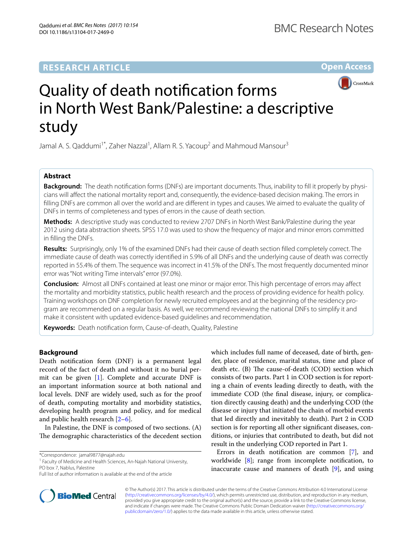## **RESEARCH ARTICLE**

**Open Access**



# Quality of death notifcation forms in North West Bank/Palestine: a descriptive study

Jamal A. S. Qaddumi<sup>1\*</sup>, Zaher Nazzal<sup>1</sup>, Allam R. S. Yacoup<sup>2</sup> and Mahmoud Mansour<sup>3</sup>

### **Abstract**

**Background:** The death notifcation forms (DNFs) are important documents. Thus, inability to fll it properly by physicians will afect the national mortality report and, consequently, the evidence-based decision making. The errors in flling DNFs are common all over the world and are diferent in types and causes. We aimed to evaluate the quality of DNFs in terms of completeness and types of errors in the cause of death section.

**Methods:** A descriptive study was conducted to review 2707 DNFs in North West Bank/Palestine during the year 2012 using data abstraction sheets. SPSS 17.0 was used to show the frequency of major and minor errors committed in flling the DNFs.

**Results:** Surprisingly, only 1% of the examined DNFs had their cause of death section flled completely correct. The immediate cause of death was correctly identifed in 5.9% of all DNFs and the underlying cause of death was correctly reported in 55.4% of them. The sequence was incorrect in 41.5% of the DNFs. The most frequently documented minor error was "Not writing Time intervals" error (97.0%).

**Conclusion:** Almost all DNFs contained at least one minor or major error. This high percentage of errors may afect the mortality and morbidity statistics, public health research and the process of providing evidence for health policy. Training workshops on DNF completion for newly recruited employees and at the beginning of the residency program are recommended on a regular basis. As well, we recommend reviewing the national DNFs to simplify it and make it consistent with updated evidence-based guidelines and recommendation.

**Keywords:** Death notifcation form, Cause-of-death, Quality, Palestine

#### **Background**

Death notifcation form (DNF) is a permanent legal record of the fact of death and without it no burial permit can be given [[1\]](#page-4-0). Complete and accurate DNF is an important information source at both national and local levels. DNF are widely used, such as for the proof of death, computing mortality and morbidity statistics, developing health program and policy, and for medical and public health research [[2–](#page-4-1)[6](#page-4-2)].

In Palestine, the DNF is composed of two sections. (A) The demographic characteristics of the decedent section

\*Correspondence: jamal9877@najah.edu

which includes full name of deceased, date of birth, gender, place of residence, marital status, time and place of death etc. (B) The cause-of-death (COD) section which consists of two parts. Part 1 in COD section is for reporting a chain of events leading directly to death, with the immediate COD (the fnal disease, injury, or complication directly causing death) and the underlying COD (the disease or injury that initiated the chain of morbid events that led directly and inevitably to death). Part 2 in COD section is for reporting all other signifcant diseases, conditions, or injuries that contributed to death, but did not result in the underlying COD reported in Part 1.

Errors in death notifcation are common [[7\]](#page-4-3), and worldwide [\[8\]](#page-4-4); range from incomplete notifcation, to inaccurate cause and manners of death [[9\]](#page-4-5), and using



© The Author(s) 2017. This article is distributed under the terms of the Creative Commons Attribution 4.0 International License [\(http://creativecommons.org/licenses/by/4.0/\)](http://creativecommons.org/licenses/by/4.0/), which permits unrestricted use, distribution, and reproduction in any medium, provided you give appropriate credit to the original author(s) and the source, provide a link to the Creative Commons license, and indicate if changes were made. The Creative Commons Public Domain Dedication waiver ([http://creativecommons.org/](http://creativecommons.org/publicdomain/zero/1.0/) [publicdomain/zero/1.0/](http://creativecommons.org/publicdomain/zero/1.0/)) applies to the data made available in this article, unless otherwise stated.

<sup>&</sup>lt;sup>1</sup> Faculty of Medicine and Health Sciences, An-Najah National University, PO box 7, Nablus, Palestine

Full list of author information is available at the end of the article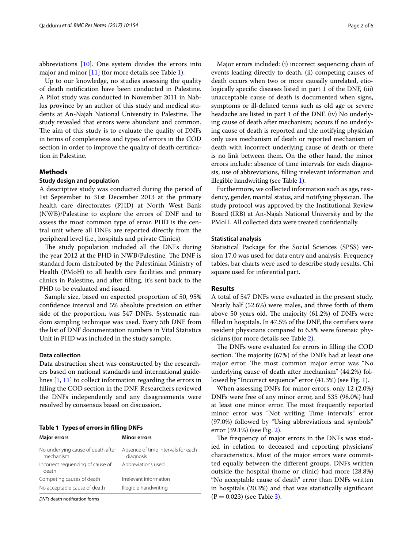abbreviations [\[10](#page-4-6)]. One system divides the errors into major and minor [\[11](#page-4-7)] (for more details see Table [1](#page-1-0)).

Up to our knowledge, no studies assessing the quality of death notifcation have been conducted in Palestine. A Pilot study was conducted in November 2011 in Nablus province by an author of this study and medical students at An-Najah National University in Palestine. The study revealed that errors were abundant and common. The aim of this study is to evaluate the quality of DNFs in terms of completeness and types of errors in the COD section in order to improve the quality of death certifcation in Palestine.

#### **Methods**

#### **Study design and population**

A descriptive study was conducted during the period of 1st September to 31st December 2013 at the primary health care directorates (PHD) at North West Bank (NWB)/Palestine to explore the errors of DNF and to assess the most common type of error. PHD is the central unit where all DNFs are reported directly from the peripheral level (i.e., hospitals and private Clinics).

The study population included all the DNFs during the year 2012 at the PHD in NWB/Palestine. The DNF is standard form distributed by the Palestinian Ministry of Health (PMoH) to all health care facilities and primary clinics in Palestine, and after flling, it's sent back to the PHD to be evaluated and issued.

Sample size, based on expected proportion of 50, 95% confdence interval and 5% absolute precision on either side of the proportion, was 547 DNFs. Systematic random sampling technique was used. Every 5th DNF from the list of DNF documentation numbers in Vital Statistics Unit in PHD was included in the study sample.

#### **Data collection**

Data abstraction sheet was constructed by the researchers based on national standards and international guidelines [\[1](#page-4-0), [11\]](#page-4-7) to collect information regarding the errors in flling the COD section in the DNF. Researchers reviewed the DNFs independently and any disagreements were resolved by consensus based on discussion.

<span id="page-1-0"></span>**Table 1 Types of errors in flling DNFs**

| <b>Major errors</b>                             | <b>Minor errors</b>                             |  |  |  |
|-------------------------------------------------|-------------------------------------------------|--|--|--|
| No underlying cause of death after<br>mechanism | Absence of time intervals for each<br>diagnosis |  |  |  |
| Incorrect sequencing of cause of<br>death       | Abbreviations used                              |  |  |  |
| Competing causes of death                       | Irrelevant information                          |  |  |  |
| No acceptable cause of death                    | Illegible handwriting                           |  |  |  |
|                                                 |                                                 |  |  |  |

*DNFs* death notifcation forms

Major errors included: (i) incorrect sequencing chain of events leading directly to death, (ii) competing causes of death occurs when two or more causally unrelated, etiologically specifc diseases listed in part 1 of the DNF, (iii) unacceptable cause of death is documented when signs, symptoms or ill-defned terms such as old age or severe headache are listed in part 1 of the DNF. (iv) No underlying cause of death after mechanism; occurs if no underlying cause of death is reported and the notifying physician only uses mechanism of death or reported mechanism of death with incorrect underlying cause of death or there is no link between them. On the other hand, the minor errors include: absence of time intervals for each diagnosis, use of abbreviations, flling irrelevant information and illegible handwriting (see Table [1\)](#page-1-0).

Furthermore, we collected information such as age, residency, gender, marital status, and notifying physician. The study protocol was approved by the Institutional Review Board (IRB) at An-Najah National University and by the PMoH. All collected data were treated confdentially.

#### **Statistical analysis**

Statistical Package for the Social Sciences (SPSS) version 17.0 was used for data entry and analysis. Frequency tables, bar charts were used to describe study results. Chi square used for inferential part.

#### **Results**

A total of 547 DNFs were evaluated in the present study. Nearly half (52.6%) were males, and three forth of them above 50 years old. The majority  $(61.2%)$  of DNFs were flled in hospitals. In 47.5% of the DNF, the certifers were resident physicians compared to 6.8% were forensic physicians (for more details see Table [2\)](#page-2-0).

The DNFs were evaluated for errors in filling the COD section. The majority (67%) of the DNFs had at least one major error. The most common major error was "No underlying cause of death after mechanism" (44.2%) followed by "Incorrect sequence" error (41.3%) (see Fig. [1](#page-2-1)).

When assessing DNFs for minor errors, only 12 (2.0%) DNFs were free of any minor error, and 535 (98.0%) had at least one minor error. The most frequently reported minor error was "Not writing Time intervals" error (97.0%) followed by "Using abbreviations and symbols" error (39.1%) (see Fig. [2\)](#page-2-2).

The frequency of major errors in the DNFs was studied in relation to deceased and reporting physicians' characteristics. Most of the major errors were committed equally between the diferent groups. DNFs written outside the hospital (home or clinic) had more (28.8%) "No acceptable cause of death" error than DNFs written in hospitals (20.3%) and that was statistically signifcant  $(P = 0.023)$  (see Table [3\)](#page-3-0).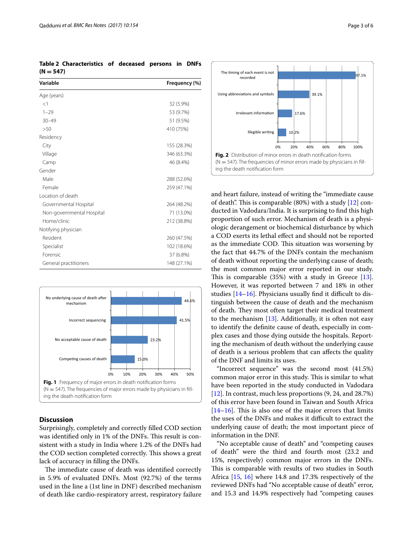<span id="page-2-0"></span>**Table 2 Characteristics of deceased persons in DNFs**   $(N = 547)$ 

| Variable                  | Frequency (%) |  |  |
|---------------------------|---------------|--|--|
| Age (years)               |               |  |  |
| <1                        | 32 (5.9%)     |  |  |
| $1 - 29$                  | 53 (9.7%)     |  |  |
| $30 - 49$                 | 51 (9.5%)     |  |  |
| >50                       | 410 (75%)     |  |  |
| Residency                 |               |  |  |
| City                      | 155 (28.3%)   |  |  |
| Village                   | 346 (63.3%)   |  |  |
| Camp                      | 46 (8.4%)     |  |  |
| Gender                    |               |  |  |
| Male                      | 288 (52.6%)   |  |  |
| Female                    | 259 (47.1%)   |  |  |
| Location of death         |               |  |  |
| Governmental Hospital     | 264 (48.2%)   |  |  |
| Non-governmental Hospital | 71 (13.0%)    |  |  |
| Home/clinic               | 212 (38.8%)   |  |  |
| Notifying physician       |               |  |  |
| Resident                  | 260 (47.5%)   |  |  |
| Specialist                | 102 (18.6%)   |  |  |
| Forensic                  | 37 (6.8%)     |  |  |
| General practitioners     | 148 (27.1%)   |  |  |



#### <span id="page-2-1"></span>**Discussion**

Surprisingly, completely and correctly flled COD section was identified only in 1% of the DNFs. This result is consistent with a study in India where 1.2% of the DNFs had the COD section completed correctly. This shows a great lack of accuracy in flling the DNFs.

The immediate cause of death was identified correctly in 5.9% of evaluated DNFs. Most (92.7%) of the terms used in the line a (1st line in DNF) described mechanism of death like cardio-respiratory arrest, respiratory failure



<span id="page-2-2"></span>and heart failure, instead of writing the "immediate cause of death". This is comparable  $(80%)$  with a study  $[12]$  $[12]$  conducted in Vadodara/India. It is surprising to fnd this high proportion of such error. Mechanism of death is a physiologic derangement or biochemical disturbance by which a COD exerts its lethal efect and should not be reported as the immediate COD. This situation was worsening by the fact that 44.7% of the DNFs contain the mechanism of death without reporting the underlying cause of death; the most common major error reported in our study. This is comparable  $(35%)$  with a study in Greece [\[13](#page-4-9)]. However, it was reported between 7 and 18% in other studies  $[14–16]$  $[14–16]$ . Physicians usually find it difficult to distinguish between the cause of death and the mechanism of death. They most often target their medical treatment to the mechanism  $[13]$  $[13]$ . Additionally, it is often not easy to identify the defnite cause of death, especially in complex cases and those dying outside the hospitals. Reporting the mechanism of death without the underlying cause of death is a serious problem that can afects the quality of the DNF and limits its uses.

"Incorrect sequence" was the second most (41.5%) common major error in this study. This is similar to what have been reported in the study conducted in Vadodara [[12\]](#page-4-8). In contrast, much less proportions (9, 24, and 28.7%) of this error have been found in Taiwan and South Africa  $[14–16]$  $[14–16]$  $[14–16]$ . This is also one of the major errors that limits the uses of the DNFs and makes it difficult to extract the underlying cause of death; the most important piece of information in the DNF.

"No acceptable cause of death" and "competing causes of death" were the third and fourth most (23.2 and 15%, respectively) common major errors in the DNFs. This is comparable with results of two studies in South Africa [[15](#page-5-2), [16\]](#page-5-1) where 14.8 and 17.3% respectively of the reviewed DNFs had "No acceptable cause of death" error, and 15.3 and 14.9% respectively had "competing causes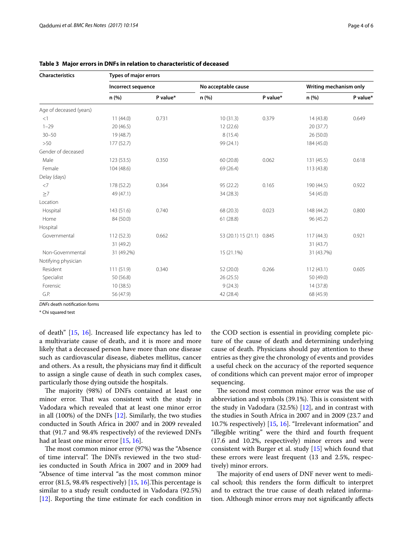| <b>Characteristics</b>  | <b>Types of major errors</b> |          |                           |          |                        |          |  |  |
|-------------------------|------------------------------|----------|---------------------------|----------|------------------------|----------|--|--|
|                         | Incorrect sequence           |          | No acceptable cause       |          | Writing mechanism only |          |  |  |
|                         | n (%)                        | P value* | n (%)                     | P value* | n(%)                   | P value* |  |  |
| Age of deceased (years) |                              |          |                           |          |                        |          |  |  |
| <1                      | 11(44.0)                     | 0.731    | 10(31.3)                  | 0.379    | 14(43.8)               | 0.649    |  |  |
| $1 - 29$                | 20(46.5)                     |          | 12 (22.6)                 |          | 20(37.7)               |          |  |  |
| $30 - 50$               | 19 (48.7)                    |          | 8 (15.4)                  |          | 26 (50.0)              |          |  |  |
| >50                     | 177(52.7)                    |          | 99 (24.1)                 |          | 184 (45.0)             |          |  |  |
| Gender of deceased      |                              |          |                           |          |                        |          |  |  |
| Male                    | 123(53.5)                    | 0.350    | 60 (20.8)                 | 0.062    | 131 (45.5)             | 0.618    |  |  |
| Female                  | 104 (48.6)                   |          | 69 (26.4)                 |          | 113 (43.8)             |          |  |  |
| Delay (days)            |                              |          |                           |          |                        |          |  |  |
| $<$ 7                   | 178 (52.2)                   | 0.364    | 95 (22.2)                 | 0.165    | 190 (44.5)             | 0.922    |  |  |
| $\geq 7$                | 49 (47.1)                    |          | 34 (28.3)                 |          | 54 (45.0)              |          |  |  |
| Location                |                              |          |                           |          |                        |          |  |  |
| Hospital                | 143 (51.6)                   | 0.740    | 68 (20.3)                 | 0.023    | 148 (44.2)             | 0.800    |  |  |
| Home                    | 84 (50.0)                    |          | 61(28.8)                  |          | 96 (45.2)              |          |  |  |
| Hospital                |                              |          |                           |          |                        |          |  |  |
| Governmental            | 112(52.3)                    | 0.662    | 53 (20.1) 15 (21.1) 0.845 |          | 117(44.3)              | 0.921    |  |  |
|                         | 31 (49.2)                    |          |                           |          | 31(43.7)               |          |  |  |
| Non-Governmental        | 31 (49.2%)                   |          | 15 (21.1%)                |          | 31 (43.7%)             |          |  |  |
| Notifying physician     |                              |          |                           |          |                        |          |  |  |
| Resident                | 111(51.9)                    | 0.340    | 52 (20.0)                 | 0.266    | 112(43.1)              | 0.605    |  |  |
| Specialist              | 50 (56.8)                    |          | 26(25.5)                  |          | 50 (49.0)              |          |  |  |
| Forensic                | 10(38.5)                     |          | 9(24.3)                   |          | 14(37.8)               |          |  |  |
| G.P.                    | 56 (47.9)                    |          | 42 (28.4)                 |          | 68 (45.9)              |          |  |  |

<span id="page-3-0"></span>**Table 3 Major errors in DNFs in relation to characteristic of deceased**

*DNFs* death notifcation forms

\* Chi squared test

of death" [\[15,](#page-5-2) [16](#page-5-1)]. Increased life expectancy has led to a multivariate cause of death, and it is more and more likely that a deceased person have more than one disease such as cardiovascular disease, diabetes mellitus, cancer and others. As a result, the physicians may find it difficult to assign a single cause of death in such complex cases, particularly those dying outside the hospitals.

The majority (98%) of DNFs contained at least one minor error. That was consistent with the study in Vadodara which revealed that at least one minor error in all (100%) of the DNFs [\[12](#page-4-8)]. Similarly, the two studies conducted in South Africa in 2007 and in 2009 revealed that (91.7 and 98.4% respectively) of the reviewed DNFs had at least one minor error [\[15](#page-5-2), [16\]](#page-5-1).

The most common minor error (97%) was the "Absence of time interval". The DNFs reviewed in the two studies conducted in South Africa in 2007 and in 2009 had "Absence of time interval "as the most common minor error  $(81.5, 98.4\%$  respectively)  $[15, 16]$  $[15, 16]$  $[15, 16]$  $[15, 16]$ . This percentage is similar to a study result conducted in Vadodara (92.5%) [[12\]](#page-4-8). Reporting the time estimate for each condition in the COD section is essential in providing complete picture of the cause of death and determining underlying cause of death. Physicians should pay attention to these entries as they give the chronology of events and provides a useful check on the accuracy of the reported sequence of conditions which can prevent major error of improper sequencing.

The second most common minor error was the use of abbreviation and symbols (39.1%). This is consistent with the study in Vadodara  $(32.5%)$  [[12\]](#page-4-8), and in contrast with the studies in South Africa in 2007 and in 2009 (23.7 and 10.7% respectively) [[15,](#page-5-2) [16\]](#page-5-1). "Irrelevant information" and "illegible writing" were the third and fourth frequent (17.6 and 10.2%, respectively) minor errors and were consistent with Burger et al. study [[15\]](#page-5-2) which found that these errors were least frequent (13 and 2.5%, respectively) minor errors.

The majority of end users of DNF never went to medical school; this renders the form difficult to interpret and to extract the true cause of death related information. Although minor errors may not signifcantly afects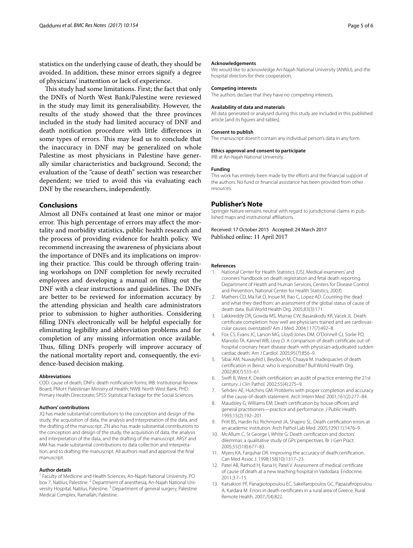statistics on the underlying cause of death, they should be avoided. In addition, these minor errors signify a degree of physicians' inattention or lack of experience.

This study had some limitations. First; the fact that only the DNFs of North West Bank/Palestine were reviewed in the study may limit its generalisability. However, the results of the study showed that the three provinces included in the study had limited accuracy of DNF and death notifcation procedure with little diferences in some types of errors. This may lead us to conclude that the inaccuracy in DNF may be generalized on whole Palestine as most physicians in Palestine have generally similar characteristics and background. Second; the evaluation of the "cause of death" section was researcher dependent; we tried to avoid this via evaluating each DNF by the researchers, independently.

#### **Conclusions**

Almost all DNFs contained at least one minor or major error. This high percentage of errors may affect the mortality and morbidity statistics, public health research and the process of providing evidence for health policy. We recommend increasing the awareness of physicians about the importance of DNFs and its implications on improving their practice. This could be through offering training workshops on DNF completion for newly recruited employees and developing a manual on flling out the DNF with a clear instructions and guidelines. The DNFs are better to be reviewed for information accuracy by the attending physician and health care administrators prior to submission to higher authorities. Considering flling DNFs electronically will be helpful especially for eliminating legibility and abbreviation problems and for completion of any missing information once available. Thus, filling DNFs properly will improve accuracy of the national mortality report and, consequently, the evidence-based decision making.

#### **Abbreviations**

COD: cause of death; DNFs: death notifcation forms; IRB: Institutional Review Board; PMoH: Palestinian Ministry of Health; NWB: North West Bank; PHD: Primary Health Directorate; SPSS: Statistical Package for the Social Sciences.

#### **Authors' contributions**

JQ has made substantial contributions to the conception and design of the study, the acquisition of data, the analysis and interpretation of the data, and the drafting of the manuscript. ZN also has made substantial contributions to the conception and design of the study, the acquisition of data, the analysis and interpretation of the data, and the drafting of the manuscript. ARSY and MM has made substantial contributions to data collection and interpretation, and to drafting the manuscript. All authors read and approval the fnal manuscript.

#### **Author details**

<sup>1</sup> Faculty of Medicine and Health Sciences, An-Najah National University, PO box 7, Nablus, Palestine. <sup>2</sup> Department of anesthesia, An-Najah National University Hospital, Nablus, Palestine.<sup>3</sup> Department of general surgery, Palestine Medical Complex, Ramallah, Palestine.

#### **Acknowledgements**

We would like to acknowledge An-Najah National University (ANNU), and the hospital directors for their cooperation.

#### **Competing interests**

The authors declare that they have no competing interests.

#### **Availability of data and materials**

All data generated or analysed during this study are included in this published article [and its fgures and tables].

#### **Consent to publish**

The manuscript doesn't contain any individual person's data in any form.

#### **Ethics approval and consent to participate**

IRB at An-Najah National University.

#### **Funding**

This work has entirely been made by the efforts and the financial support of the authors. No fund or fnancial assistance has been provided from other resources.

#### **Publisher's Note**

Springer Nature remains neutral with regard to jurisdictional claims in published maps and institutional afliations.

Received: 17 October 2015 Accepted: 24 March 2017 Published online: 11 April 2017

#### **References**

- <span id="page-4-0"></span>1. National Center for Health Statistics (US). Medical examiners' and coroners' handbook on death registration and fetal death reporting. Department of Health and Human Services, Centers for Disease Control and Prevention, National Center for Health Statistics; 2003.
- <span id="page-4-1"></span>2. Mathers CD, Ma Fat D, Inoue M, Rao C, Lopez AD. Counting the dead and what they died from: an assessment of the global status of cause of death data. Bull World Health Org. 2005;83(3):171.
- 3. Lakkireddy DR, Gowda MS, Murray CW, Basarakodu KR, Vacek JL. Death certifcate completion: how well are physicians trained and are cardiovascular causes overstated? Am J Med. 2004;117(7):492–8.
- 4. Fox CS, Evans JC, Larson MG, Lloyd-Jones DM, O'Donnell CJ, Sorlie PD, Manolio TA, Kannel WB, Levy D. A comparison of death certifcate out-ofhospital coronary heart disease death with physician-adjudicated sudden cardiac death. Am J Cardiol. 2005;95(7):856–9.
- 5. Sibai AM, Nuwayhid I, Beydoun M, Chaaya M. Inadequacies of death certifcation in Beirut: who is responsible? Bull World Health Org. 2002;80(7):555–61.
- <span id="page-4-2"></span>6. Swift B, West K. Death certifcation: an audit of practice entering the 21st century. J Clin Pathol. 2002;55(4):275–9.
- <span id="page-4-3"></span>7. Sehdev AE, Hutchins GM. Problems with proper completion and accuracy of the cause-of-death statement. Arch Intern Med. 2001;161(2):277–84.
- <span id="page-4-4"></span>8. Maudsley G, Williams EM. Death certification by house officers and general practitioners—practice and performance. J Public Health. 1993;15(2):192–201.
- <span id="page-4-5"></span>9. Pritt BS, Hardin NJ, Richmond JA, Shapiro SL. Death certifcation errors at an academic institution. Arch Pathol Lab Med. 2005;129(11):1476–9.
- <span id="page-4-6"></span>10. McAllum C, St George I, White G. Death certifcation and doctors' dilemmas: a qualitative study of GPs' perspectives. Br J Gen Pract. 2005;55(518):677–83.
- <span id="page-4-7"></span>11. Myers KA, Farquhar DR. Improving the accuracy of death certifcation. Can Med Assoc J. 1998;158(10):1317–23.
- <span id="page-4-8"></span>12. Patel AB, Rathod H, Rana H, Patel V. Assessment of medical certifcate of cause of death at a new teaching hospital in Vadodara. Endocrine. 2011;3:7–15.
- <span id="page-4-9"></span>13. Katsakiori PF, Panagiotopoulou EC, Sakellaropoulos GC, Papazafropoulou A, Kardara M. Errors in death certifcates in a rural area of Greece. Rural Remote Health. 2007;7(4):822.